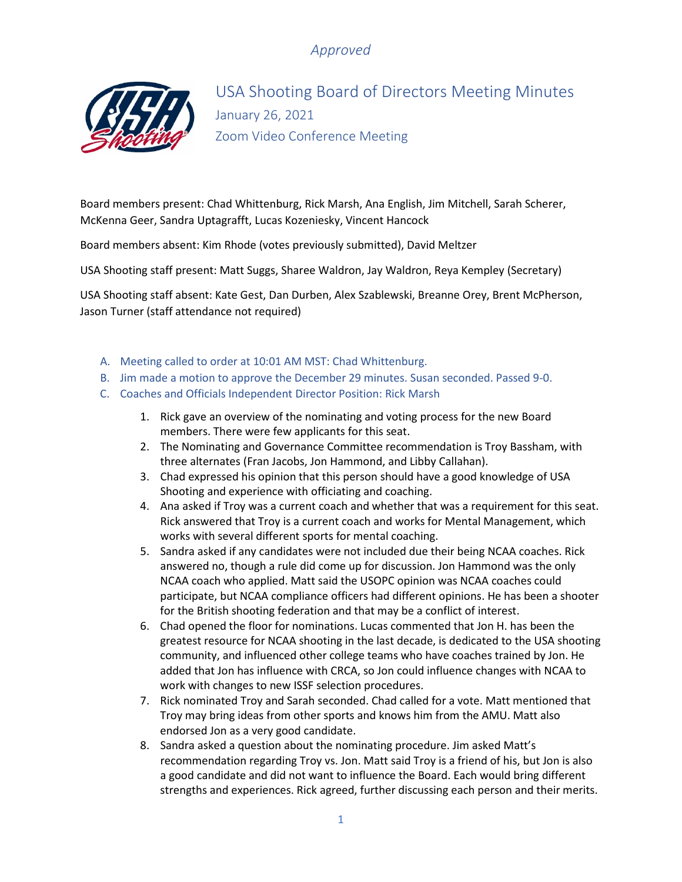

USA Shooting Board of Directors Meeting Minutes January 26, 2021 Zoom Video Conference Meeting

Board members present: Chad Whittenburg, Rick Marsh, Ana English, Jim Mitchell, Sarah Scherer, McKenna Geer, Sandra Uptagrafft, Lucas Kozeniesky, Vincent Hancock

Board members absent: Kim Rhode (votes previously submitted), David Meltzer

USA Shooting staff present: Matt Suggs, Sharee Waldron, Jay Waldron, Reya Kempley (Secretary)

USA Shooting staff absent: Kate Gest, Dan Durben, Alex Szablewski, Breanne Orey, Brent McPherson, Jason Turner (staff attendance not required)

- A. Meeting called to order at 10:01 AM MST: Chad Whittenburg.
- B. Jim made a motion to approve the December 29 minutes. Susan seconded. Passed 9-0.
- C. Coaches and Officials Independent Director Position: Rick Marsh
	- 1. Rick gave an overview of the nominating and voting process for the new Board members. There were few applicants for this seat.
	- 2. The Nominating and Governance Committee recommendation is Troy Bassham, with three alternates (Fran Jacobs, Jon Hammond, and Libby Callahan).
	- 3. Chad expressed his opinion that this person should have a good knowledge of USA Shooting and experience with officiating and coaching.
	- 4. Ana asked if Troy was a current coach and whether that was a requirement for this seat. Rick answered that Troy is a current coach and works for Mental Management, which works with several different sports for mental coaching.
	- 5. Sandra asked if any candidates were not included due their being NCAA coaches. Rick answered no, though a rule did come up for discussion. Jon Hammond was the only NCAA coach who applied. Matt said the USOPC opinion was NCAA coaches could participate, but NCAA compliance officers had different opinions. He has been a shooter for the British shooting federation and that may be a conflict of interest.
	- 6. Chad opened the floor for nominations. Lucas commented that Jon H. has been the greatest resource for NCAA shooting in the last decade, is dedicated to the USA shooting community, and influenced other college teams who have coaches trained by Jon. He added that Jon has influence with CRCA, so Jon could influence changes with NCAA to work with changes to new ISSF selection procedures.
	- 7. Rick nominated Troy and Sarah seconded. Chad called for a vote. Matt mentioned that Troy may bring ideas from other sports and knows him from the AMU. Matt also endorsed Jon as a very good candidate.
	- 8. Sandra asked a question about the nominating procedure. Jim asked Matt's recommendation regarding Troy vs. Jon. Matt said Troy is a friend of his, but Jon is also a good candidate and did not want to influence the Board. Each would bring different strengths and experiences. Rick agreed, further discussing each person and their merits.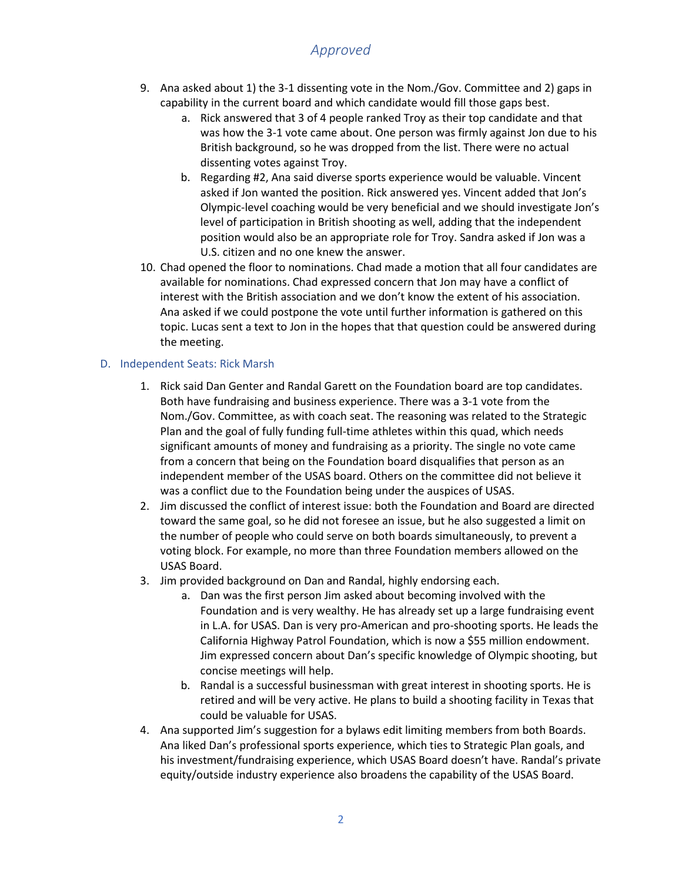- 9. Ana asked about 1) the 3-1 dissenting vote in the Nom./Gov. Committee and 2) gaps in capability in the current board and which candidate would fill those gaps best.
	- a. Rick answered that 3 of 4 people ranked Troy as their top candidate and that was how the 3-1 vote came about. One person was firmly against Jon due to his British background, so he was dropped from the list. There were no actual dissenting votes against Troy.
	- b. Regarding #2, Ana said diverse sports experience would be valuable. Vincent asked if Jon wanted the position. Rick answered yes. Vincent added that Jon's Olympic-level coaching would be very beneficial and we should investigate Jon's level of participation in British shooting as well, adding that the independent position would also be an appropriate role for Troy. Sandra asked if Jon was a U.S. citizen and no one knew the answer.
- 10. Chad opened the floor to nominations. Chad made a motion that all four candidates are available for nominations. Chad expressed concern that Jon may have a conflict of interest with the British association and we don't know the extent of his association. Ana asked if we could postpone the vote until further information is gathered on this topic. Lucas sent a text to Jon in the hopes that that question could be answered during the meeting.

### D. Independent Seats: Rick Marsh

- 1. Rick said Dan Genter and Randal Garett on the Foundation board are top candidates. Both have fundraising and business experience. There was a 3-1 vote from the Nom./Gov. Committee, as with coach seat. The reasoning was related to the Strategic Plan and the goal of fully funding full-time athletes within this quad, which needs significant amounts of money and fundraising as a priority. The single no vote came from a concern that being on the Foundation board disqualifies that person as an independent member of the USAS board. Others on the committee did not believe it was a conflict due to the Foundation being under the auspices of USAS.
- 2. Jim discussed the conflict of interest issue: both the Foundation and Board are directed toward the same goal, so he did not foresee an issue, but he also suggested a limit on the number of people who could serve on both boards simultaneously, to prevent a voting block. For example, no more than three Foundation members allowed on the USAS Board.
- 3. Jim provided background on Dan and Randal, highly endorsing each.
	- a. Dan was the first person Jim asked about becoming involved with the Foundation and is very wealthy. He has already set up a large fundraising event in L.A. for USAS. Dan is very pro-American and pro-shooting sports. He leads the California Highway Patrol Foundation, which is now a \$55 million endowment. Jim expressed concern about Dan's specific knowledge of Olympic shooting, but concise meetings will help.
	- b. Randal is a successful businessman with great interest in shooting sports. He is retired and will be very active. He plans to build a shooting facility in Texas that could be valuable for USAS.
- 4. Ana supported Jim's suggestion for a bylaws edit limiting members from both Boards. Ana liked Dan's professional sports experience, which ties to Strategic Plan goals, and his investment/fundraising experience, which USAS Board doesn't have. Randal's private equity/outside industry experience also broadens the capability of the USAS Board.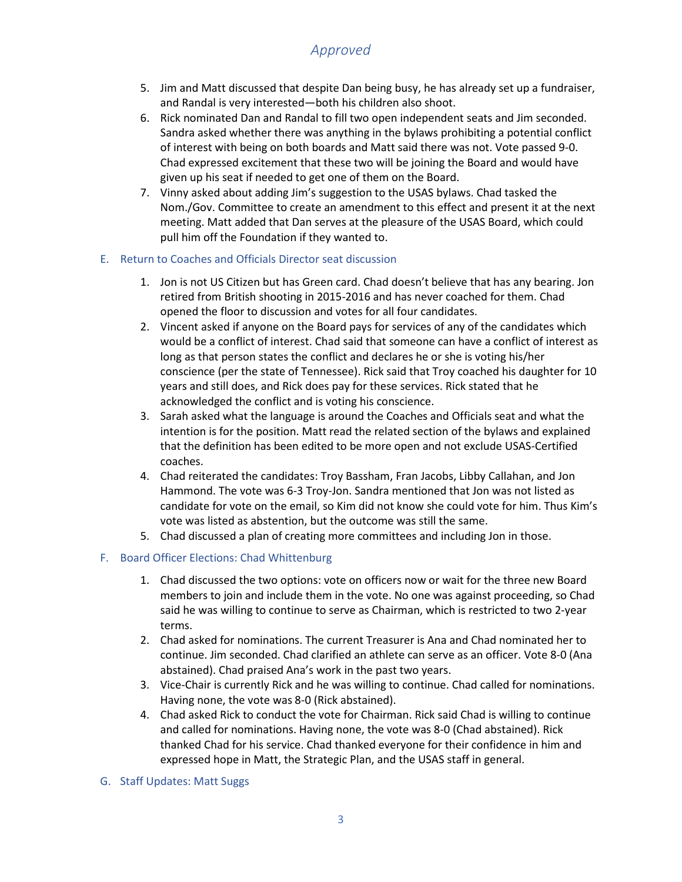- 5. Jim and Matt discussed that despite Dan being busy, he has already set up a fundraiser, and Randal is very interested—both his children also shoot.
- 6. Rick nominated Dan and Randal to fill two open independent seats and Jim seconded. Sandra asked whether there was anything in the bylaws prohibiting a potential conflict of interest with being on both boards and Matt said there was not. Vote passed 9-0. Chad expressed excitement that these two will be joining the Board and would have given up his seat if needed to get one of them on the Board.
- 7. Vinny asked about adding Jim's suggestion to the USAS bylaws. Chad tasked the Nom./Gov. Committee to create an amendment to this effect and present it at the next meeting. Matt added that Dan serves at the pleasure of the USAS Board, which could pull him off the Foundation if they wanted to.

### E. Return to Coaches and Officials Director seat discussion

- 1. Jon is not US Citizen but has Green card. Chad doesn't believe that has any bearing. Jon retired from British shooting in 2015-2016 and has never coached for them. Chad opened the floor to discussion and votes for all four candidates.
- 2. Vincent asked if anyone on the Board pays for services of any of the candidates which would be a conflict of interest. Chad said that someone can have a conflict of interest as long as that person states the conflict and declares he or she is voting his/her conscience (per the state of Tennessee). Rick said that Troy coached his daughter for 10 years and still does, and Rick does pay for these services. Rick stated that he acknowledged the conflict and is voting his conscience.
- 3. Sarah asked what the language is around the Coaches and Officials seat and what the intention is for the position. Matt read the related section of the bylaws and explained that the definition has been edited to be more open and not exclude USAS-Certified coaches.
- 4. Chad reiterated the candidates: Troy Bassham, Fran Jacobs, Libby Callahan, and Jon Hammond. The vote was 6-3 Troy-Jon. Sandra mentioned that Jon was not listed as candidate for vote on the email, so Kim did not know she could vote for him. Thus Kim's vote was listed as abstention, but the outcome was still the same.
- 5. Chad discussed a plan of creating more committees and including Jon in those.

### F. Board Officer Elections: Chad Whittenburg

- 1. Chad discussed the two options: vote on officers now or wait for the three new Board members to join and include them in the vote. No one was against proceeding, so Chad said he was willing to continue to serve as Chairman, which is restricted to two 2-year terms.
- 2. Chad asked for nominations. The current Treasurer is Ana and Chad nominated her to continue. Jim seconded. Chad clarified an athlete can serve as an officer. Vote 8-0 (Ana abstained). Chad praised Ana's work in the past two years.
- 3. Vice-Chair is currently Rick and he was willing to continue. Chad called for nominations. Having none, the vote was 8-0 (Rick abstained).
- 4. Chad asked Rick to conduct the vote for Chairman. Rick said Chad is willing to continue and called for nominations. Having none, the vote was 8-0 (Chad abstained). Rick thanked Chad for his service. Chad thanked everyone for their confidence in him and expressed hope in Matt, the Strategic Plan, and the USAS staff in general.
- G. Staff Updates: Matt Suggs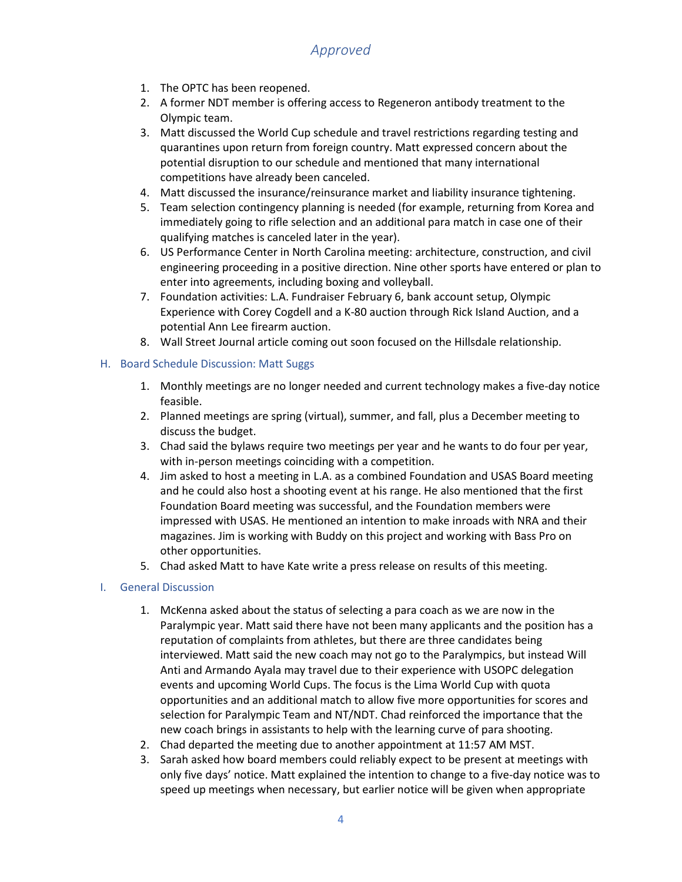- 1. The OPTC has been reopened.
- 2. A former NDT member is offering access to Regeneron antibody treatment to the Olympic team.
- 3. Matt discussed the World Cup schedule and travel restrictions regarding testing and quarantines upon return from foreign country. Matt expressed concern about the potential disruption to our schedule and mentioned that many international competitions have already been canceled.
- 4. Matt discussed the insurance/reinsurance market and liability insurance tightening.
- 5. Team selection contingency planning is needed (for example, returning from Korea and immediately going to rifle selection and an additional para match in case one of their qualifying matches is canceled later in the year).
- 6. US Performance Center in North Carolina meeting: architecture, construction, and civil engineering proceeding in a positive direction. Nine other sports have entered or plan to enter into agreements, including boxing and volleyball.
- 7. Foundation activities: L.A. Fundraiser February 6, bank account setup, Olympic Experience with Corey Cogdell and a K-80 auction through Rick Island Auction, and a potential Ann Lee firearm auction.
- 8. Wall Street Journal article coming out soon focused on the Hillsdale relationship.

### H. Board Schedule Discussion: Matt Suggs

- 1. Monthly meetings are no longer needed and current technology makes a five-day notice feasible.
- 2. Planned meetings are spring (virtual), summer, and fall, plus a December meeting to discuss the budget.
- 3. Chad said the bylaws require two meetings per year and he wants to do four per year, with in-person meetings coinciding with a competition.
- 4. Jim asked to host a meeting in L.A. as a combined Foundation and USAS Board meeting and he could also host a shooting event at his range. He also mentioned that the first Foundation Board meeting was successful, and the Foundation members were impressed with USAS. He mentioned an intention to make inroads with NRA and their magazines. Jim is working with Buddy on this project and working with Bass Pro on other opportunities.
- 5. Chad asked Matt to have Kate write a press release on results of this meeting.

#### I. General Discussion

- 1. McKenna asked about the status of selecting a para coach as we are now in the Paralympic year. Matt said there have not been many applicants and the position has a reputation of complaints from athletes, but there are three candidates being interviewed. Matt said the new coach may not go to the Paralympics, but instead Will Anti and Armando Ayala may travel due to their experience with USOPC delegation events and upcoming World Cups. The focus is the Lima World Cup with quota opportunities and an additional match to allow five more opportunities for scores and selection for Paralympic Team and NT/NDT. Chad reinforced the importance that the new coach brings in assistants to help with the learning curve of para shooting.
- 2. Chad departed the meeting due to another appointment at 11:57 AM MST.
- 3. Sarah asked how board members could reliably expect to be present at meetings with only five days' notice. Matt explained the intention to change to a five-day notice was to speed up meetings when necessary, but earlier notice will be given when appropriate